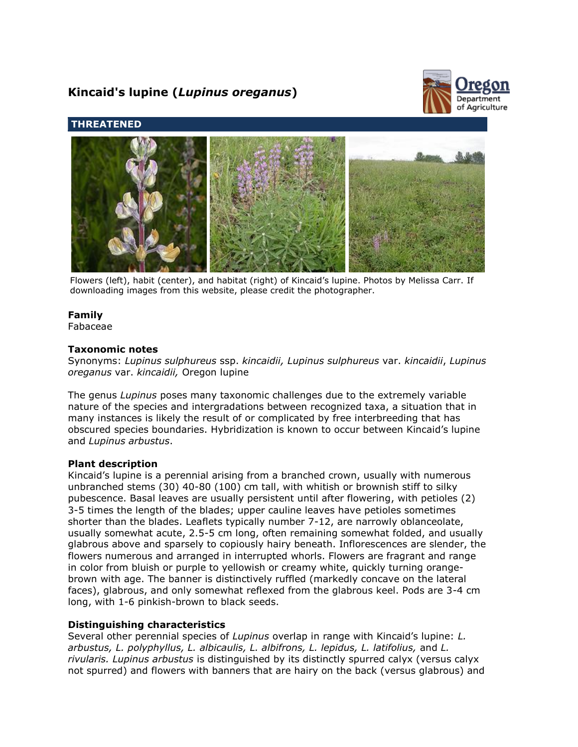# **Kincaid's lupine (***Lupinus oreganus***)**



# **THREATENED**



Flowers (left), habit (center), and habitat (right) of Kincaid's lupine. Photos by Melissa Carr. If downloading images from this website, please credit the photographer.

# **Family**

Fabaceae

# **Taxonomic notes**

Synonyms: *Lupinus sulphureus* ssp. *kincaidii, Lupinus sulphureus* var. *kincaidii*, *Lupinus oreganus* var. *kincaidii,* Oregon lupine

The genus *Lupinus* poses many taxonomic challenges due to the extremely variable nature of the species and intergradations between recognized taxa, a situation that in many instances is likely the result of or complicated by free interbreeding that has obscured species boundaries. Hybridization is known to occur between Kincaid's lupine and *Lupinus arbustus*.

#### **Plant description**

Kincaid's lupine is a perennial arising from a branched crown, usually with numerous unbranched stems (30) 40-80 (100) cm tall, with whitish or brownish stiff to silky pubescence. Basal leaves are usually persistent until after flowering, with petioles (2) 3-5 times the length of the blades; upper cauline leaves have petioles sometimes shorter than the blades. Leaflets typically number 7-12, are narrowly oblanceolate, usually somewhat acute, 2.5-5 cm long, often remaining somewhat folded, and usually glabrous above and sparsely to copiously hairy beneath. Inflorescences are slender, the flowers numerous and arranged in interrupted whorls. Flowers are fragrant and range in color from bluish or purple to yellowish or creamy white, quickly turning orangebrown with age. The banner is distinctively ruffled (markedly concave on the lateral faces), glabrous, and only somewhat reflexed from the glabrous keel. Pods are 3-4 cm long, with 1-6 pinkish-brown to black seeds.

# **Distinguishing characteristics**

Several other perennial species of *Lupinus* overlap in range with Kincaid's lupine: *L. arbustus, L. polyphyllus, L. albicaulis, L. albifrons, L. lepidus, L. latifolius,* and *L. rivularis. Lupinus arbustus* is distinguished by its distinctly spurred calyx (versus calyx not spurred) and flowers with banners that are hairy on the back (versus glabrous) and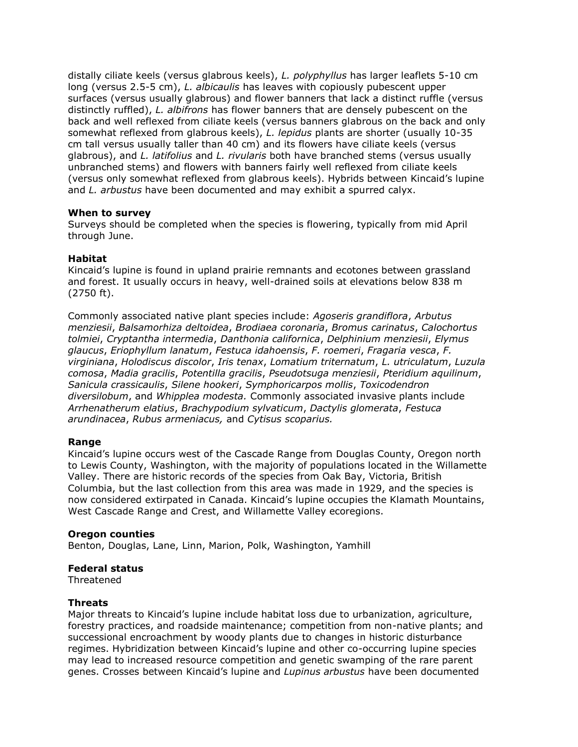distally ciliate keels (versus glabrous keels), *L. polyphyllus* has larger leaflets 5-10 cm long (versus 2.5-5 cm), *L. albicaulis* has leaves with copiously pubescent upper surfaces (versus usually glabrous) and flower banners that lack a distinct ruffle (versus distinctly ruffled), *L. albifrons* has flower banners that are densely pubescent on the back and well reflexed from ciliate keels (versus banners glabrous on the back and only somewhat reflexed from glabrous keels), *L. lepidus* plants are shorter (usually 10-35 cm tall versus usually taller than 40 cm) and its flowers have ciliate keels (versus glabrous), and *L. latifolius* and *L. rivularis* both have branched stems (versus usually unbranched stems) and flowers with banners fairly well reflexed from ciliate keels (versus only somewhat reflexed from glabrous keels). Hybrids between Kincaid's lupine and *L. arbustus* have been documented and may exhibit a spurred calyx.

# **When to survey**

Surveys should be completed when the species is flowering, typically from mid April through June.

# **Habitat**

Kincaid's lupine is found in upland prairie remnants and ecotones between grassland and forest. It usually occurs in heavy, well-drained soils at elevations below 838 m (2750 ft).

Commonly associated native plant species include: *Agoseris grandiflora*, *Arbutus menziesii*, *Balsamorhiza deltoidea*, *Brodiaea coronaria*, *Bromus carinatus*, *Calochortus tolmiei*, *Cryptantha intermedia*, *Danthonia californica*, *Delphinium menziesii*, *Elymus glaucus*, *Eriophyllum lanatum*, *Festuca idahoensis*, *F. roemeri*, *Fragaria vesca*, *F. virginiana*, *Holodiscus discolor*, *Iris tenax*, *Lomatium triternatum*, *L. utriculatum*, *Luzula comosa*, *Madia gracilis*, *Potentilla gracilis*, *Pseudotsuga menziesii*, *Pteridium aquilinum*, *Sanicula crassicaulis*, *Silene hookeri*, *Symphoricarpos mollis*, *Toxicodendron diversilobum*, and *Whipplea modesta.* Commonly associated invasive plants include *Arrhenatherum elatius*, *Brachypodium sylvaticum*, *Dactylis glomerata*, *Festuca arundinacea*, *Rubus armeniacus,* and *Cytisus scoparius.*

#### **Range**

Kincaid's lupine occurs west of the Cascade Range from Douglas County, Oregon north to Lewis County, Washington, with the majority of populations located in the Willamette Valley. There are historic records of the species from Oak Bay, Victoria, British Columbia, but the last collection from this area was made in 1929, and the species is now considered extirpated in Canada. Kincaid's lupine occupies the Klamath Mountains, West Cascade Range and Crest, and Willamette Valley ecoregions.

#### **Oregon counties**

Benton, Douglas, Lane, Linn, Marion, Polk, Washington, Yamhill

# **Federal status**

Threatened

#### **Threats**

Major threats to Kincaid's lupine include habitat loss due to urbanization, agriculture, forestry practices, and roadside maintenance; competition from non-native plants; and successional encroachment by woody plants due to changes in historic disturbance regimes. Hybridization between Kincaid's lupine and other co-occurring lupine species may lead to increased resource competition and genetic swamping of the rare parent genes. Crosses between Kincaid's lupine and *Lupinus arbustus* have been documented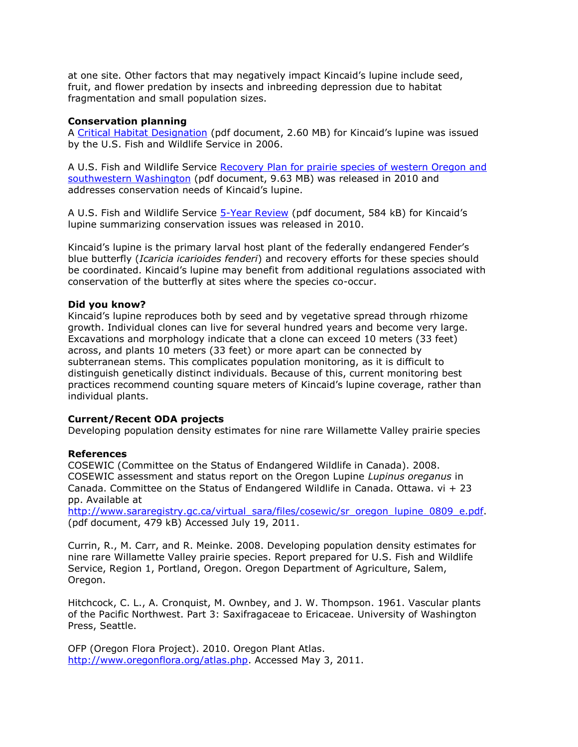at one site. Other factors that may negatively impact Kincaid's lupine include seed, fruit, and flower predation by insects and inbreeding depression due to habitat fragmentation and small population sizes.

#### **Conservation planning**

A [Critical Habitat Designation](http://www.fws.gov/oregonfwo/Species/PrairieSpecies/Documents/FR2006Oct31WVCHFinal.pdf) (pdf document, 2.60 MB) for Kincaid's lupine was issued by the U.S. Fish and Wildlife Service in 2006.

A U.S. Fish and Wildlife Service [Recovery Plan for prairie species of western Oregon and](http://ecos.fws.gov/docs/recovery_plan/100629.pdf)  [southwestern Washington](http://ecos.fws.gov/docs/recovery_plan/100629.pdf) (pdf document, 9.63 MB) was released in 2010 and addresses conservation needs of Kincaid's lupine.

A U.S. Fish and Wildlife Service [5-Year Review](http://ecos.fws.gov/docs/five_year_review/doc3355.pdf) (pdf document, 584 kB) for Kincaid's lupine summarizing conservation issues was released in 2010.

Kincaid's lupine is the primary larval host plant of the federally endangered Fender's blue butterfly (*Icaricia icarioides fenderi*) and recovery efforts for these species should be coordinated. Kincaid's lupine may benefit from additional regulations associated with conservation of the butterfly at sites where the species co-occur.

#### **Did you know?**

Kincaid's lupine reproduces both by seed and by vegetative spread through rhizome growth. Individual clones can live for several hundred years and become very large. Excavations and morphology indicate that a clone can exceed 10 meters (33 feet) across, and plants 10 meters (33 feet) or more apart can be connected by subterranean stems. This complicates population monitoring, as it is difficult to distinguish genetically distinct individuals. Because of this, current monitoring best practices recommend counting square meters of Kincaid's lupine coverage, rather than individual plants.

#### **Current/Recent ODA projects**

Developing population density estimates for nine rare Willamette Valley prairie species

#### **References**

COSEWIC (Committee on the Status of Endangered Wildlife in Canada). 2008. COSEWIC assessment and status report on the Oregon Lupine *Lupinus oreganus* in Canada. Committee on the Status of Endangered Wildlife in Canada. Ottawa.  $vi + 23$ pp. Available at

[http://www.sararegistry.gc.ca/virtual\\_sara/files/cosewic/sr\\_oregon\\_lupine\\_0809\\_e.pdf.](http://www.sararegistry.gc.ca/virtual_sara/files/cosewic/sr_oregon_lupine_0809_e.pdf) (pdf document, 479 kB) Accessed July 19, 2011.

Currin, R., M. Carr, and R. Meinke. 2008. Developing population density estimates for nine rare Willamette Valley prairie species. Report prepared for U.S. Fish and Wildlife Service, Region 1, Portland, Oregon. Oregon Department of Agriculture, Salem, Oregon.

Hitchcock, C. L., A. Cronquist, M. Ownbey, and J. W. Thompson. 1961. Vascular plants of the Pacific Northwest. Part 3: Saxifragaceae to Ericaceae. University of Washington Press, Seattle.

OFP (Oregon Flora Project). 2010. Oregon Plant Atlas. [http://www.oregonflora.org/atlas.php.](http://www.oregonflora.org/atlas.php) Accessed May 3, 2011.